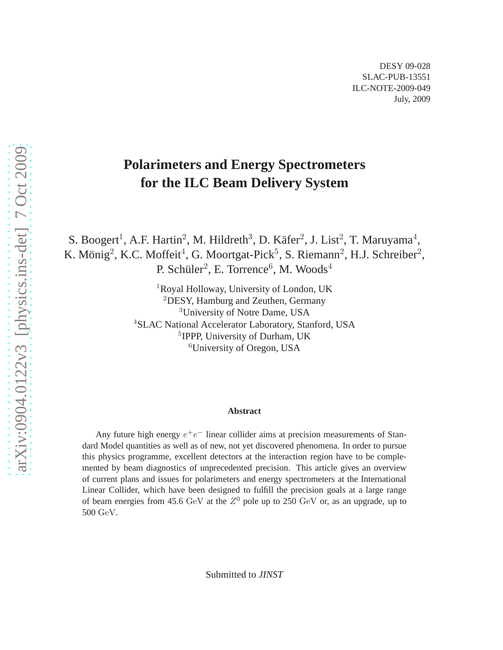# **Polarimeters and Energy Spectrometers for the ILC Beam Delivery System**

S. Boogert<sup>1</sup>, A.F. Hartin<sup>2</sup>, M. Hildreth<sup>3</sup>, D. Käfer<sup>2</sup>, J. List<sup>2</sup>, T. Maruyama<sup>4</sup>, K. Mönig<sup>2</sup>, K.C. Moffeit<sup>4</sup>, G. Moortgat-Pick<sup>5</sup>, S. Riemann<sup>2</sup>, H.J. Schreiber<sup>2</sup>, P. Schüler<sup>2</sup>, E. Torrence<sup>6</sup>, M. Woods<sup>4</sup>

> Royal Holloway, University of London, UK DESY, Hamburg and Zeuthen, Germany University of Notre Dame, USA SLAC National Accelerator Laboratory, Stanford, USA IPPP, University of Durham, UK University of Oregon, USA

#### **Abstract**

Any future high energy  $e^+e^-$  linear collider aims at precision measurements of Standard Model quantities as well as of new, not yet discovered phenomena. In order to pursue this physics programme, excellent detectors at the interaction region have to be complemented by beam diagnostics of unprecedented precision. This article gives an overview of current plans and issues for polarimeters and energy spectrometers at the International Linear Collider, which have been designed to fulfill the precision goals at a large range of beam energies from 45.6 GeV at the  $Z^0$  pole up to 250 GeV or, as an upgrade, up to 500 GeV.

Submitted to *JINST*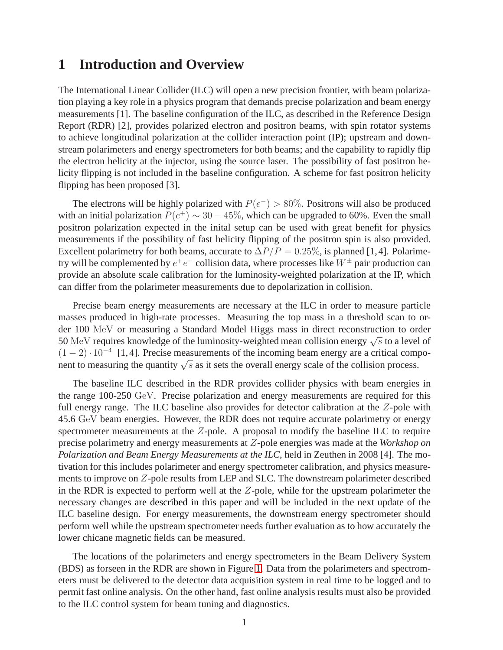### **1 Introduction and Overview**

The International Linear Collider (ILC) will open a new precision frontier, with beam polarization playing a key role in a physics program that demands precise polarization and beam energy measurements [1]. The baseline configuration of the ILC, as described in the Reference Design Report (RDR) [2], provides polarized electron and positron beams, with spin rotator systems to achieve longitudinal polarization at the collider interaction point (IP); upstream and downstream polarimeters and energy spectrometers for both beams; and the capability to rapidly flip the electron helicity at the injector, using the source laser. The possibility of fast positron helicity flipping is not included in the baseline configuration. A scheme for fast positron helicity flipping has been proposed [3].

The electrons will be highly polarized with  $P(e^-) > 80\%$ . Positrons will also be produced with an initial polarization  $P(e^+) \sim 30 - 45\%$ , which can be upgraded to 60%. Even the small positron polarization expected in the inital setup can be used with great benefit for physics measurements if the possibility of fast helicity flipping of the positron spin is also provided. Excellent polarimetry for both beams, accurate to  $\Delta P/P = 0.25\%$ , is planned [1,4]. Polarimetry will be complemented by  $e^+e^-$  collision data, where processes like  $W^{\pm}$  pair production can provide an absolute scale calibration for the luminosity-weighted polarization at the IP, which can differ from the polarimeter measurements due to depolarization in collision.

Precise beam energy measurements are necessary at the ILC in order to measure particle masses produced in high-rate processes. Measuring the top mass in a threshold scan to order 100 MeV or measuring a Standard Model Higgs mass in direct reconstruction to order 50 MeV requires knowledge of the luminosity-weighted mean collision energy  $\sqrt{s}$  to a level of  $(1 - 2) \cdot 10^{-4}$  [1,4]. Precise measurements of the incoming beam energy are a critical component to measuring the quantity  $\sqrt{s}$  as it sets the overall energy scale of the collision process.

The baseline ILC described in the RDR provides collider physics with beam energies in the range 100-250 GeV. Precise polarization and energy measurements are required for this full energy range. The ILC baseline also provides for detector calibration at the  $Z$ -pole with 45.6 GeV beam energies. However, the RDR does not require accurate polarimetry or energy spectrometer measurements at the  $Z$ -pole. A proposal to modify the baseline ILC to require precise polarimetry and energy measurements at Z-pole energies was made at the *Workshop on Polarization and Beam Energy Measurements at the ILC*, held in Zeuthen in 2008 [4]. The motivation for this includes polarimeter and energy spectrometer calibration, and physics measurements to improve on Z-pole results from LEP and SLC. The downstream polarimeter described in the RDR is expected to perform well at the  $Z$ -pole, while for the upstream polarimeter the necessary changes are described in this paper and will be included in the next update of the ILC baseline design. For energy measurements, the downstream energy spectrometer should perform well while the upstream spectrometer needs further evaluation as to how accurately the lower chicane magnetic fields can be measured.

The locations of the polarimeters and energy spectrometers in the Beam Delivery System (BDS) as forseen in the RDR are shown in Figure [1.](#page-2-0) Data from the polarimeters and spectrometers must be delivered to the detector data acquisition system in real time to be logged and to permit fast online analysis. On the other hand, fast online analysis results must also be provided to the ILC control system for beam tuning and diagnostics.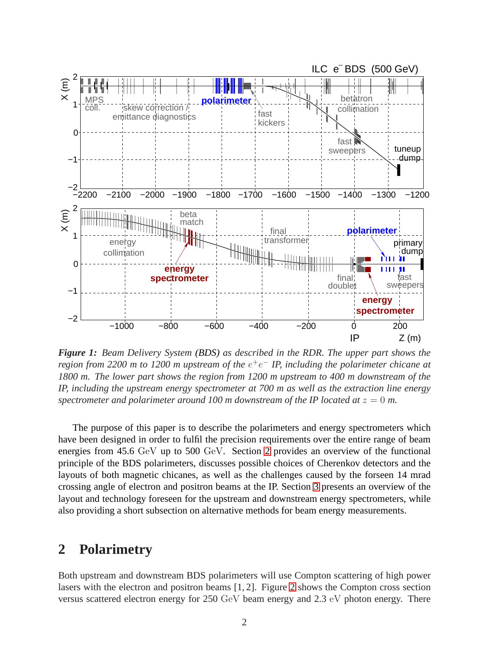

<span id="page-2-0"></span>*Figure 1: Beam Delivery System (BDS) as described in the RDR. The upper part shows the region from 2200 m to 1200 m upstream of the e<sup>+</sup>e<sup>−</sup> IP, including the polarimeter chicane at 1800 m. The lower part shows the region from 1200 m upstream to 400 m downstream of the IP, including the upstream energy spectrometer at 700 m as well as the extraction line energy spectrometer and polarimeter around 100 m downstream of the IP located at*  $z = 0$  *m.* 

The purpose of this paper is to describe the polarimeters and energy spectrometers which have been designed in order to fulfil the precision requirements over the entire range of beam energies from 45.6 GeV up to 500 GeV. Section [2](#page-2-1) provides an overview of the functional principle of the BDS polarimeters, discusses possible choices of Cherenkov detectors and the layouts of both magnetic chicanes, as well as the challenges caused by the forseen 14 mrad crossing angle of electron and positron beams at the IP. Section [3](#page-10-0) presents an overview of the layout and technology foreseen for the upstream and downstream energy spectrometers, while also providing a short subsection on alternative methods for beam energy measurements.

### <span id="page-2-1"></span>**2 Polarimetry**

Both upstream and downstream BDS polarimeters will use Compton scattering of high power lasers with the electron and positron beams [1, 2]. Figure [2](#page-3-0) shows the Compton cross section versus scattered electron energy for 250 GeV beam energy and 2.3 eV photon energy. There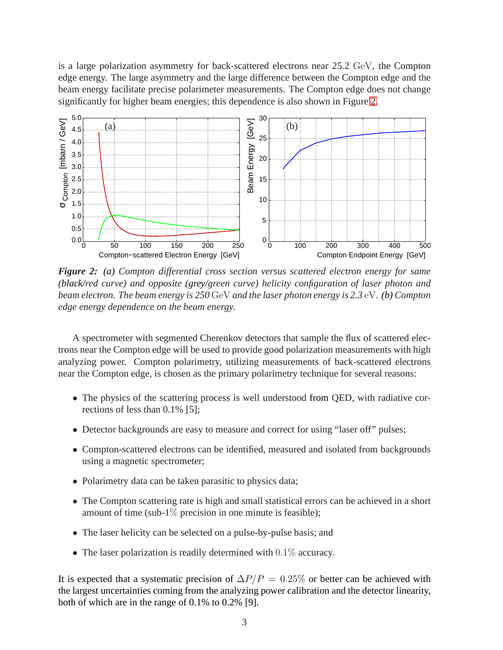is a large polarization asymmetry for back-scattered electrons near 25.2 GeV, the Compton edge energy. The large asymmetry and the large difference between the Compton edge and the beam energy facilitate precise polarimeter measurements. The Compton edge does not change significantly for higher beam energies; this dependence is also shown in Figure [2.](#page-3-0)



<span id="page-3-0"></span>*Figure 2: (a) Compton differential cross section versus scattered electron energy for same (black/red curve) and opposite (grey/green curve) helicity configuration of laser photon and beam electron. The beam energy is 250* GeV *and the laser photon energy is 2.3* eV*. (b) Compton edge energy dependence on the beam energy.*

A spectrometer with segmented Cherenkov detectors that sample the flux of scattered electrons near the Compton edge will be used to provide good polarization measurements with high analyzing power. Compton polarimetry, utilizing measurements of back-scattered electrons near the Compton edge, is chosen as the primary polarimetry technique for several reasons:

- The physics of the scattering process is well understood from OED, with radiative corrections of less than 0.1% [5];
- Detector backgrounds are easy to measure and correct for using "laser off" pulses;
- Compton-scattered electrons can be identified, measured and isolated from backgrounds using a magnetic spectrometer;
- Polarimetry data can be taken parasitic to physics data;
- The Compton scattering rate is high and small statistical errors can be achieved in a short amount of time (sub-1 $\%$  precision in one minute is feasible);
- The laser helicity can be selected on a pulse-by-pulse basis; and
- The laser polarization is readily determined with 0.1% accuracy.

It is expected that a systematic precision of  $\Delta P/P = 0.25\%$  or better can be achieved with the largest uncertainties coming from the analyzing power calibration and the detector linearity, both of which are in the range of 0.1% to 0.2% [9].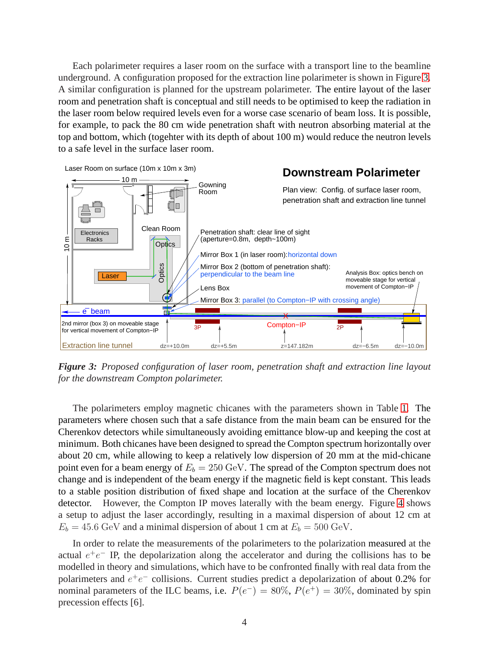Each polarimeter requires a laser room on the surface with a transport line to the beamline underground. A configuration proposed for the extraction line polarimeter is shown in Figure [3.](#page-4-0) A similar configuration is planned for the upstream polarimeter. The entire layout of the laser room and penetration shaft is conceptual and still needs to be optimised to keep the radiation in the laser room below required levels even for a worse case scenario of beam loss. It is possible, for example, to pack the 80 cm wide penetration shaft with neutron absorbing material at the top and bottom, which (togehter with its depth of about 100 m) would reduce the neutron levels to a safe level in the surface laser room.



<span id="page-4-0"></span>*Figure 3: Proposed configuration of laser room, penetration shaft and extraction line layout for the downstream Compton polarimeter.*

The polarimeters employ magnetic chicanes with the parameters shown in Table [1.](#page-5-0) The parameters where chosen such that a safe distance from the main beam can be ensured for the Cherenkov detectors while simultaneously avoiding emittance blow-up and keeping the cost at minimum. Both chicanes have been designed to spread the Compton spectrum horizontally over about 20 cm, while allowing to keep a relatively low dispersion of 20 mm at the mid-chicane point even for a beam energy of  $E<sub>b</sub> = 250 \text{ GeV}$ . The spread of the Compton spectrum does not change and is independent of the beam energy if the magnetic field is kept constant. This leads to a stable position distribution of fixed shape and location at the surface of the Cherenkov detector. However, the Compton IP moves laterally with the beam energy. Figure [4](#page-5-1) shows a setup to adjust the laser accordingly, resulting in a maximal dispersion of about 12 cm at  $E_b = 45.6$  GeV and a minimal dispersion of about 1 cm at  $E_b = 500$  GeV.

In order to relate the measurements of the polarimeters to the polarization measured at the actual  $e^+e^-$  IP, the depolarization along the accelerator and during the collisions has to be modelled in theory and simulations, which have to be confronted finally with real data from the polarimeters and  $e^+e^-$  collisions. Current studies predict a depolarization of about 0.2% for nominal parameters of the ILC beams, i.e.  $P(e^-) = 80\%$ ,  $P(e^+) = 30\%$ , dominated by spin precession effects [6].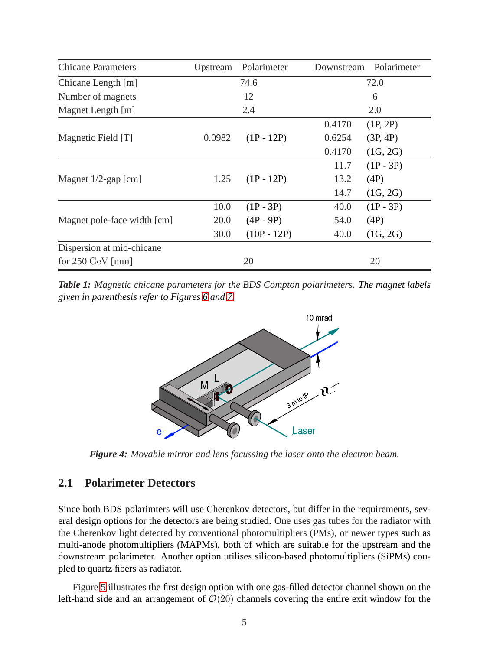| <b>Chicane Parameters</b>   | Upstream | Polarimeter   | Downstream | Polarimeter |
|-----------------------------|----------|---------------|------------|-------------|
| Chicane Length [m]          | 74.6     |               | 72.0       |             |
| Number of magnets           | 12       |               | 6          |             |
| Magnet Length [m]           | 2.4      |               | 2.0        |             |
| Magnetic Field [T]          | 0.0982   | $(1P - 12P)$  | 0.4170     | (1P, 2P)    |
|                             |          |               | 0.6254     | (3P, 4P)    |
|                             |          |               | 0.4170     | (1G, 2G)    |
| Magnet $1/2$ -gap [cm]      | 1.25     | $(1P - 12P)$  | 11.7       | $(1P - 3P)$ |
|                             |          |               | 13.2       | (4P)        |
|                             |          |               | 14.7       | (1G, 2G)    |
| Magnet pole-face width [cm] | 10.0     | $(1P - 3P)$   | 40.0       | $(1P - 3P)$ |
|                             | 20.0     | $(4P - 9P)$   | 54.0       | (4P)        |
|                             | 30.0     | $(10P - 12P)$ | 40.0       | (1G, 2G)    |
| Dispersion at mid-chicane   |          |               |            |             |
| for $250 \text{ GeV}$ [mm]  | 20       |               | 20         |             |

<span id="page-5-0"></span>*Table 1: Magnetic chicane parameters for the BDS Compton polarimeters. The magnet labels given in parenthesis refer to Figures [6](#page-7-0) and [7.](#page-8-0)*



<span id="page-5-1"></span>*Figure 4: Movable mirror and lens focussing the laser onto the electron beam.*

### **2.1 Polarimeter Detectors**

Since both BDS polarimters will use Cherenkov detectors, but differ in the requirements, several design options for the detectors are being studied. One uses gas tubes for the radiator with the Cherenkov light detected by conventional photomultipliers (PMs), or newer types such as multi-anode photomultipliers (MAPMs), both of which are suitable for the upstream and the downstream polarimeter. Another option utilises silicon-based photomultipliers (SiPMs) coupled to quartz fibers as radiator.

Figure [5](#page-6-0) illustrates the first design option with one gas-filled detector channel shown on the left-hand side and an arrangement of  $\mathcal{O}(20)$  channels covering the entire exit window for the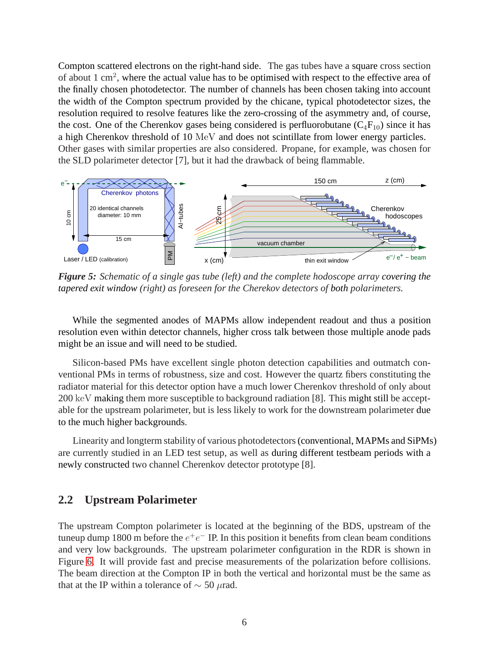Compton scattered electrons on the right-hand side. The gas tubes have a square cross section of about 1 cm<sup>2</sup>, where the actual value has to be optimised with respect to the effective area of the finally chosen photodetector. The number of channels has been chosen taking into account the width of the Compton spectrum provided by the chicane, typical photodetector sizes, the resolution required to resolve features like the zero-crossing of the asymmetry and, of course, the cost. One of the Cherenkov gases being considered is perfluorobutane  $(C_4F_{10})$  since it has a high Cherenkov threshold of 10 MeV and does not scintillate from lower energy particles. Other gases with similar properties are also considered. Propane, for example, was chosen for the SLD polarimeter detector [7], but it had the drawback of being flammable.



<span id="page-6-0"></span>*Figure 5: Schematic of a single gas tube (left) and the complete hodoscope array covering the tapered exit window (right) as foreseen for the Cherekov detectors of both polarimeters.*

While the segmented anodes of MAPMs allow independent readout and thus a position resolution even within detector channels, higher cross talk between those multiple anode pads might be an issue and will need to be studied.

Silicon-based PMs have excellent single photon detection capabilities and outmatch conventional PMs in terms of robustness, size and cost. However the quartz fibers constituting the radiator material for this detector option have a much lower Cherenkov threshold of only about 200 keV making them more susceptible to background radiation [8]. This might still be acceptable for the upstream polarimeter, but is less likely to work for the downstream polarimeter due to the much higher backgrounds.

Linearity and longterm stability of various photodetectors(conventional, MAPMs and SiPMs) are currently studied in an LED test setup, as well as during different testbeam periods with a newly constructed two channel Cherenkov detector prototype [8].

### **2.2 Upstream Polarimeter**

The upstream Compton polarimeter is located at the beginning of the BDS, upstream of the tuneup dump 1800 m before the  $e^+e^-$  IP. In this position it benefits from clean beam conditions and very low backgrounds. The upstream polarimeter configuration in the RDR is shown in Figure [6.](#page-7-0) It will provide fast and precise measurements of the polarization before collisions. The beam direction at the Compton IP in both the vertical and horizontal must be the same as that at the IP within a tolerance of  $\sim$  50  $\mu$ rad.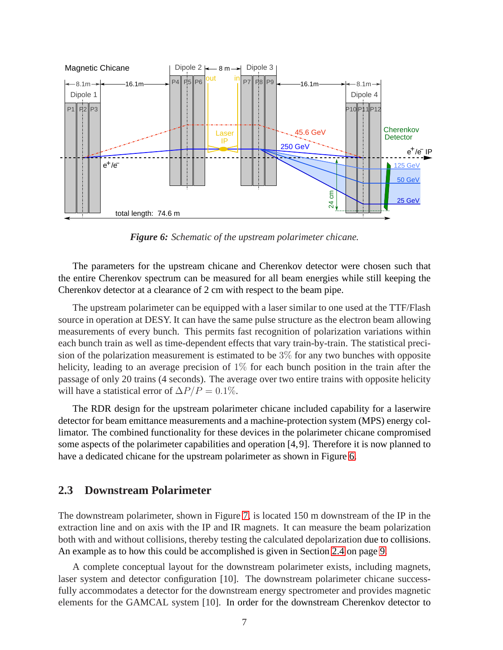

<span id="page-7-0"></span>*Figure 6: Schematic of the upstream polarimeter chicane.*

The parameters for the upstream chicane and Cherenkov detector were chosen such that the entire Cherenkov spectrum can be measured for all beam energies while still keeping the Cherenkov detector at a clearance of 2 cm with respect to the beam pipe.

The upstream polarimeter can be equipped with a laser similar to one used at the TTF/Flash source in operation at DESY. It can have the same pulse structure as the electron beam allowing measurements of every bunch. This permits fast recognition of polarization variations within each bunch train as well as time-dependent effects that vary train-by-train. The statistical precision of the polarization measurement is estimated to be 3% for any two bunches with opposite helicity, leading to an average precision of  $1\%$  for each bunch position in the train after the passage of only 20 trains (4 seconds). The average over two entire trains with opposite helicity will have a statistical error of  $\Delta P/P = 0.1\%$ .

The RDR design for the upstream polarimeter chicane included capability for a laserwire detector for beam emittance measurements and a machine-protection system (MPS) energy collimator. The combined functionality for these devices in the polarimeter chicane compromised some aspects of the polarimeter capabilities and operation [4,9]. Therefore it is now planned to have a dedicated chicane for the upstream polarimeter as shown in Figure [6.](#page-7-0)

#### **2.3 Downstream Polarimeter**

The downstream polarimeter, shown in Figure [7,](#page-8-0) is located 150 m downstream of the IP in the extraction line and on axis with the IP and IR magnets. It can measure the beam polarization both with and without collisions, thereby testing the calculated depolarization due to collisions. An example as to how this could be accomplished is given in Section [2.4](#page-9-0) on page [9.](#page-9-0)

A complete conceptual layout for the downstream polarimeter exists, including magnets, laser system and detector configuration [10]. The downstream polarimeter chicane successfully accommodates a detector for the downstream energy spectrometer and provides magnetic elements for the GAMCAL system [10]. In order for the downstream Cherenkov detector to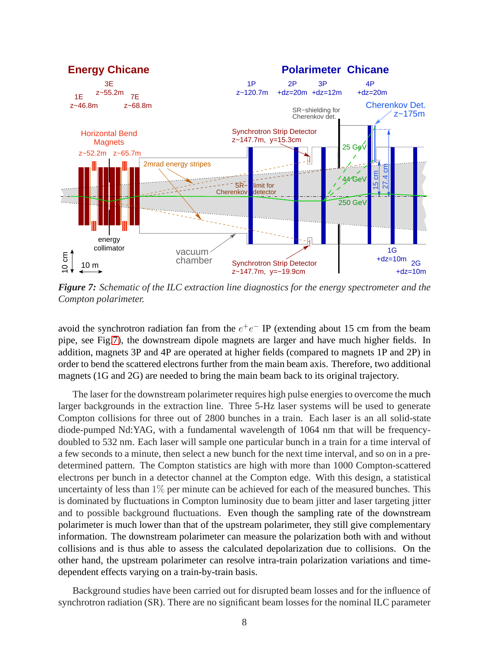

<span id="page-8-0"></span>*Figure 7: Schematic of the ILC extraction line diagnostics for the energy spectrometer and the Compton polarimeter.*

avoid the synchrotron radiation fan from the  $e^+e^-$  IP (extending about 15 cm from the beam pipe, see Fig[.7\)](#page-8-0), the downstream dipole magnets are larger and have much higher fields. In addition, magnets 3P and 4P are operated at higher fields (compared to magnets 1P and 2P) in order to bend the scattered electrons further from the main beam axis. Therefore, two additional magnets (1G and 2G) are needed to bring the main beam back to its original trajectory.

The laser for the downstream polarimeter requires high pulse energies to overcome the much larger backgrounds in the extraction line. Three 5-Hz laser systems will be used to generate Compton collisions for three out of 2800 bunches in a train. Each laser is an all solid-state diode-pumped Nd:YAG, with a fundamental wavelength of 1064 nm that will be frequencydoubled to 532 nm. Each laser will sample one particular bunch in a train for a time interval of a few seconds to a minute, then select a new bunch for the next time interval, and so on in a predetermined pattern. The Compton statistics are high with more than 1000 Compton-scattered electrons per bunch in a detector channel at the Compton edge. With this design, a statistical uncertainty of less than  $1\%$  per minute can be achieved for each of the measured bunches. This is dominated by fluctuations in Compton luminosity due to beam jitter and laser targeting jitter and to possible background fluctuations. Even though the sampling rate of the downstream polarimeter is much lower than that of the upstream polarimeter, they still give complementary information. The downstream polarimeter can measure the polarization both with and without collisions and is thus able to assess the calculated depolarization due to collisions. On the other hand, the upstream polarimeter can resolve intra-train polarization variations and timedependent effects varying on a train-by-train basis.

Background studies have been carried out for disrupted beam losses and for the influence of synchrotron radiation (SR). There are no significant beam losses for the nominal ILC parameter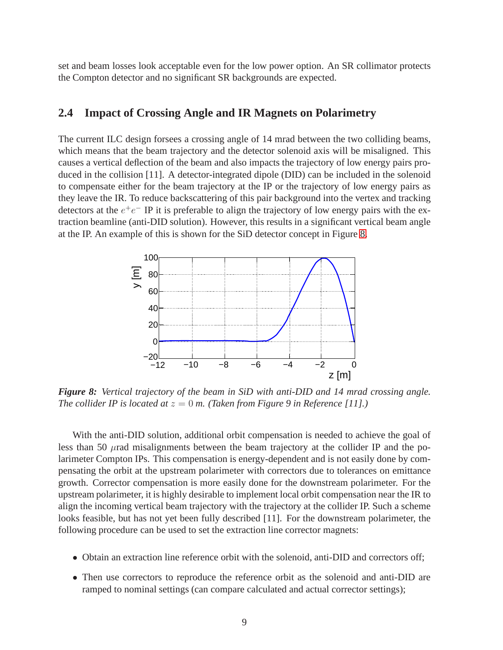set and beam losses look acceptable even for the low power option. An SR collimator protects the Compton detector and no significant SR backgrounds are expected.

#### <span id="page-9-0"></span>**2.4 Impact of Crossing Angle and IR Magnets on Polarimetry**

The current ILC design forsees a crossing angle of 14 mrad between the two colliding beams, which means that the beam trajectory and the detector solenoid axis will be misaligned. This causes a vertical deflection of the beam and also impacts the trajectory of low energy pairs produced in the collision [11]. A detector-integrated dipole (DID) can be included in the solenoid to compensate either for the beam trajectory at the IP or the trajectory of low energy pairs as they leave the IR. To reduce backscattering of this pair background into the vertex and tracking detectors at the  $e^+e^-$  IP it is preferable to align the trajectory of low energy pairs with the extraction beamline (anti-DID solution). However, this results in a significant vertical beam angle at the IP. An example of this is shown for the SiD detector concept in Figure [8.](#page-9-1)



<span id="page-9-1"></span>*Figure 8: Vertical trajectory of the beam in SiD with anti-DID and 14 mrad crossing angle. The collider IP is located at*  $z = 0$  *m. (Taken from Figure 9 in Reference [11].)* 

With the anti-DID solution, additional orbit compensation is needed to achieve the goal of less than 50 µrad misalignments between the beam trajectory at the collider IP and the polarimeter Compton IPs. This compensation is energy-dependent and is not easily done by compensating the orbit at the upstream polarimeter with correctors due to tolerances on emittance growth. Corrector compensation is more easily done for the downstream polarimeter. For the upstream polarimeter, it is highly desirable to implement local orbit compensation near the IR to align the incoming vertical beam trajectory with the trajectory at the collider IP. Such a scheme looks feasible, but has not yet been fully described [11]. For the downstream polarimeter, the following procedure can be used to set the extraction line corrector magnets:

- Obtain an extraction line reference orbit with the solenoid, anti-DID and correctors off;
- Then use correctors to reproduce the reference orbit as the solenoid and anti-DID are ramped to nominal settings (can compare calculated and actual corrector settings);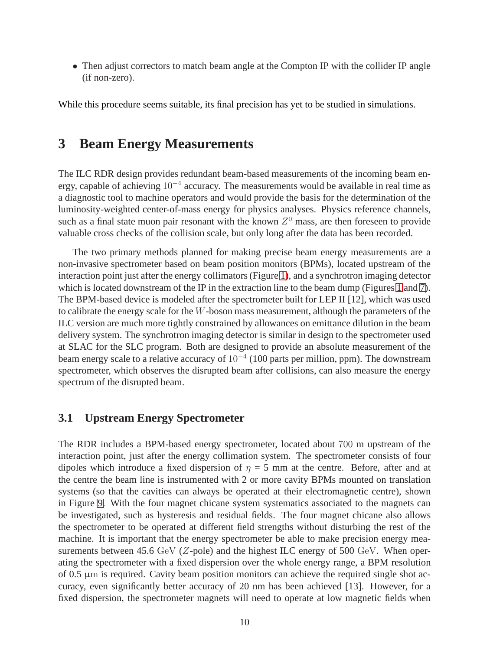• Then adjust correctors to match beam angle at the Compton IP with the collider IP angle (if non-zero).

<span id="page-10-0"></span>While this procedure seems suitable, its final precision has yet to be studied in simulations.

### **3 Beam Energy Measurements**

The ILC RDR design provides redundant beam-based measurements of the incoming beam energy, capable of achieving 10<sup>-4</sup> accuracy. The measurements would be available in real time as a diagnostic tool to machine operators and would provide the basis for the determination of the luminosity-weighted center-of-mass energy for physics analyses. Physics reference channels, such as a final state muon pair resonant with the known  $Z<sup>0</sup>$  mass, are then foreseen to provide valuable cross checks of the collision scale, but only long after the data has been recorded.

The two primary methods planned for making precise beam energy measurements are a non-invasive spectrometer based on beam position monitors (BPMs), located upstream of the interaction point just after the energy collimators (Figure [1\)](#page-2-0), and a synchrotron imaging detector which is located downstream of the IP in the extraction line to the beam dump (Figures [1](#page-2-0) and [7\)](#page-8-0). The BPM-based device is modeled after the spectrometer built for LEP II [12], which was used to calibrate the energy scale for the  $W$ -boson mass measurement, although the parameters of the ILC version are much more tightly constrained by allowances on emittance dilution in the beam delivery system. The synchrotron imaging detector is similar in design to the spectrometer used at SLAC for the SLC program. Both are designed to provide an absolute measurement of the beam energy scale to a relative accuracy of  $10^{-4}$  (100 parts per million, ppm). The downstream spectrometer, which observes the disrupted beam after collisions, can also measure the energy spectrum of the disrupted beam.

#### **3.1 Upstream Energy Spectrometer**

The RDR includes a BPM-based energy spectrometer, located about 700 m upstream of the interaction point, just after the energy collimation system. The spectrometer consists of four dipoles which introduce a fixed dispersion of  $\eta = 5$  mm at the centre. Before, after and at the centre the beam line is instrumented with 2 or more cavity BPMs mounted on translation systems (so that the cavities can always be operated at their electromagnetic centre), shown in Figure [9.](#page-11-0) With the four magnet chicane system systematics associated to the magnets can be investigated, such as hysteresis and residual fields. The four magnet chicane also allows the spectrometer to be operated at different field strengths without disturbing the rest of the machine. It is important that the energy spectrometer be able to make precision energy measurements between 45.6 GeV (Z-pole) and the highest ILC energy of 500 GeV. When operating the spectrometer with a fixed dispersion over the whole energy range, a BPM resolution of 0.5 µm is required. Cavity beam position monitors can achieve the required single shot accuracy, even significantly better accuracy of 20 nm has been achieved [13]. However, for a fixed dispersion, the spectrometer magnets will need to operate at low magnetic fields when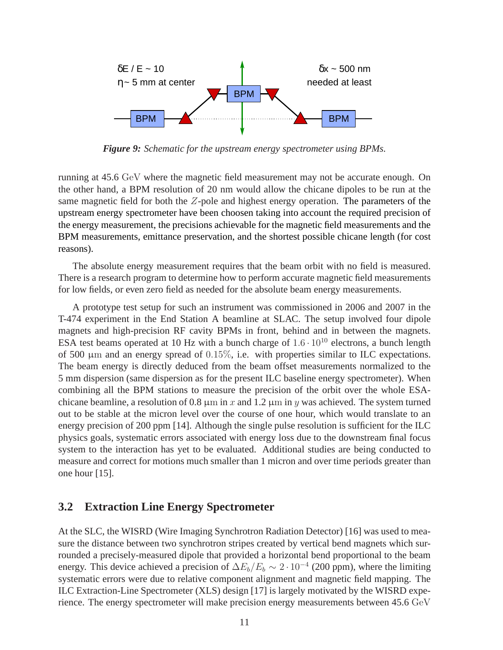

<span id="page-11-0"></span>*Figure 9: Schematic for the upstream energy spectrometer using BPMs.*

running at 45.6 GeV where the magnetic field measurement may not be accurate enough. On the other hand, a BPM resolution of 20 nm would allow the chicane dipoles to be run at the same magnetic field for both the Z-pole and highest energy operation. The parameters of the upstream energy spectrometer have been choosen taking into account the required precision of the energy measurement, the precisions achievable for the magnetic field measurements and the BPM measurements, emittance preservation, and the shortest possible chicane length (for cost reasons).

The absolute energy measurement requires that the beam orbit with no field is measured. There is a research program to determine how to perform accurate magnetic field measurements for low fields, or even zero field as needed for the absolute beam energy measurements.

A prototype test setup for such an instrument was commissioned in 2006 and 2007 in the T-474 experiment in the End Station A beamline at SLAC. The setup involved four dipole magnets and high-precision RF cavity BPMs in front, behind and in between the magnets. ESA test beams operated at 10 Hz with a bunch charge of  $1.6 \cdot 10^{10}$  electrons, a bunch length of 500  $\mu$ m and an energy spread of 0.15%, i.e. with properties similar to ILC expectations. The beam energy is directly deduced from the beam offset measurements normalized to the 5 mm dispersion (same dispersion as for the present ILC baseline energy spectrometer). When combining all the BPM stations to measure the precision of the orbit over the whole ESAchicane beamline, a resolution of 0.8  $\mu$ m in x and 1.2  $\mu$ m in y was achieved. The system turned out to be stable at the micron level over the course of one hour, which would translate to an energy precision of 200 ppm [14]. Although the single pulse resolution is sufficient for the ILC physics goals, systematic errors associated with energy loss due to the downstream final focus system to the interaction has yet to be evaluated. Additional studies are being conducted to measure and correct for motions much smaller than 1 micron and over time periods greater than one hour [15].

### **3.2 Extraction Line Energy Spectrometer**

At the SLC, the WISRD (Wire Imaging Synchrotron Radiation Detector) [16] was used to measure the distance between two synchrotron stripes created by vertical bend magnets which surrounded a precisely-measured dipole that provided a horizontal bend proportional to the beam energy. This device achieved a precision of  $\Delta E_b/E_b \sim 2 \cdot 10^{-4}$  (200 ppm), where the limiting systematic errors were due to relative component alignment and magnetic field mapping. The ILC Extraction-Line Spectrometer (XLS) design [17] is largely motivated by the WISRD experience. The energy spectrometer will make precision energy measurements between 45.6 GeV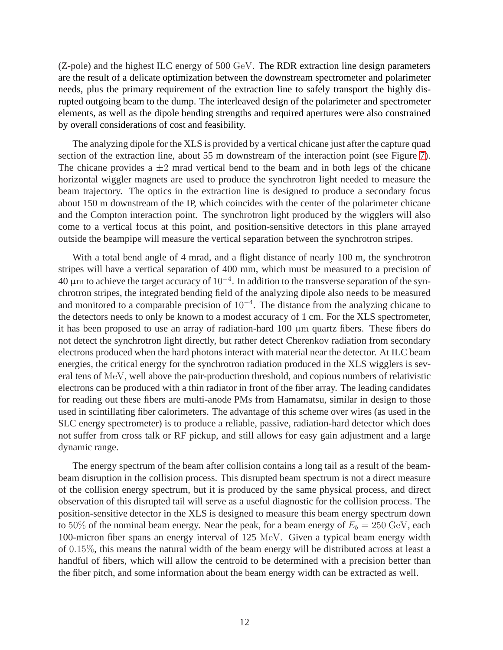(Z-pole) and the highest ILC energy of 500 GeV. The RDR extraction line design parameters are the result of a delicate optimization between the downstream spectrometer and polarimeter needs, plus the primary requirement of the extraction line to safely transport the highly disrupted outgoing beam to the dump. The interleaved design of the polarimeter and spectrometer elements, as well as the dipole bending strengths and required apertures were also constrained by overall considerations of cost and feasibility.

The analyzing dipole for the XLS is provided by a vertical chicane just after the capture quad section of the extraction line, about 55 m downstream of the interaction point (see Figure [7\)](#page-8-0). The chicane provides a  $\pm 2$  mrad vertical bend to the beam and in both legs of the chicane horizontal wiggler magnets are used to produce the synchrotron light needed to measure the beam trajectory. The optics in the extraction line is designed to produce a secondary focus about 150 m downstream of the IP, which coincides with the center of the polarimeter chicane and the Compton interaction point. The synchrotron light produced by the wigglers will also come to a vertical focus at this point, and position-sensitive detectors in this plane arrayed outside the beampipe will measure the vertical separation between the synchrotron stripes.

With a total bend angle of 4 mrad, and a flight distance of nearly 100 m, the synchrotron stripes will have a vertical separation of 400 mm, which must be measured to a precision of  $40 \mu$ m to achieve the target accuracy of  $10^{-4}$ . In addition to the transverse separation of the synchrotron stripes, the integrated bending field of the analyzing dipole also needs to be measured and monitored to a comparable precision of 10<sup>−</sup><sup>4</sup> . The distance from the analyzing chicane to the detectors needs to only be known to a modest accuracy of 1 cm. For the XLS spectrometer, it has been proposed to use an array of radiation-hard  $100 \mu m$  quartz fibers. These fibers do not detect the synchrotron light directly, but rather detect Cherenkov radiation from secondary electrons produced when the hard photons interact with material near the detector. At ILC beam energies, the critical energy for the synchrotron radiation produced in the XLS wigglers is several tens of MeV, well above the pair-production threshold, and copious numbers of relativistic electrons can be produced with a thin radiator in front of the fiber array. The leading candidates for reading out these fibers are multi-anode PMs from Hamamatsu, similar in design to those used in scintillating fiber calorimeters. The advantage of this scheme over wires (as used in the SLC energy spectrometer) is to produce a reliable, passive, radiation-hard detector which does not suffer from cross talk or RF pickup, and still allows for easy gain adjustment and a large dynamic range.

The energy spectrum of the beam after collision contains a long tail as a result of the beambeam disruption in the collision process. This disrupted beam spectrum is not a direct measure of the collision energy spectrum, but it is produced by the same physical process, and direct observation of this disrupted tail will serve as a useful diagnostic for the collision process. The position-sensitive detector in the XLS is designed to measure this beam energy spectrum down to 50% of the nominal beam energy. Near the peak, for a beam energy of  $E_b = 250 \text{ GeV}$ , each 100-micron fiber spans an energy interval of 125 MeV. Given a typical beam energy width of 0.15%, this means the natural width of the beam energy will be distributed across at least a handful of fibers, which will allow the centroid to be determined with a precision better than the fiber pitch, and some information about the beam energy width can be extracted as well.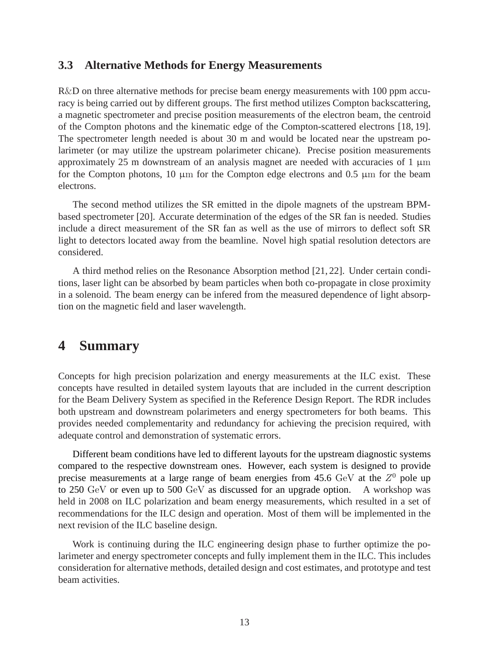#### **3.3 Alternative Methods for Energy Measurements**

R&D on three alternative methods for precise beam energy measurements with 100 ppm accuracy is being carried out by different groups. The first method utilizes Compton backscattering, a magnetic spectrometer and precise position measurements of the electron beam, the centroid of the Compton photons and the kinematic edge of the Compton-scattered electrons [18, 19]. The spectrometer length needed is about 30 m and would be located near the upstream polarimeter (or may utilize the upstream polarimeter chicane). Precise position measurements approximately 25 m downstream of an analysis magnet are needed with accuracies of  $1 \mu m$ for the Compton photons, 10  $\mu$ m for the Compton edge electrons and 0.5  $\mu$ m for the beam electrons.

The second method utilizes the SR emitted in the dipole magnets of the upstream BPMbased spectrometer [20]. Accurate determination of the edges of the SR fan is needed. Studies include a direct measurement of the SR fan as well as the use of mirrors to deflect soft SR light to detectors located away from the beamline. Novel high spatial resolution detectors are considered.

A third method relies on the Resonance Absorption method [21, 22]. Under certain conditions, laser light can be absorbed by beam particles when both co-propagate in close proximity in a solenoid. The beam energy can be infered from the measured dependence of light absorption on the magnetic field and laser wavelength.

### **4 Summary**

Concepts for high precision polarization and energy measurements at the ILC exist. These concepts have resulted in detailed system layouts that are included in the current description for the Beam Delivery System as specified in the Reference Design Report. The RDR includes both upstream and downstream polarimeters and energy spectrometers for both beams. This provides needed complementarity and redundancy for achieving the precision required, with adequate control and demonstration of systematic errors.

Different beam conditions have led to different layouts for the upstream diagnostic systems compared to the respective downstream ones. However, each system is designed to provide precise measurements at a large range of beam energies from 45.6  $GeV$  at the  $Z^0$  pole up to 250 GeV or even up to 500 GeV as discussed for an upgrade option. A workshop was held in 2008 on ILC polarization and beam energy measurements, which resulted in a set of recommendations for the ILC design and operation. Most of them will be implemented in the next revision of the ILC baseline design.

Work is continuing during the ILC engineering design phase to further optimize the polarimeter and energy spectrometer concepts and fully implement them in the ILC. This includes consideration for alternative methods, detailed design and cost estimates, and prototype and test beam activities.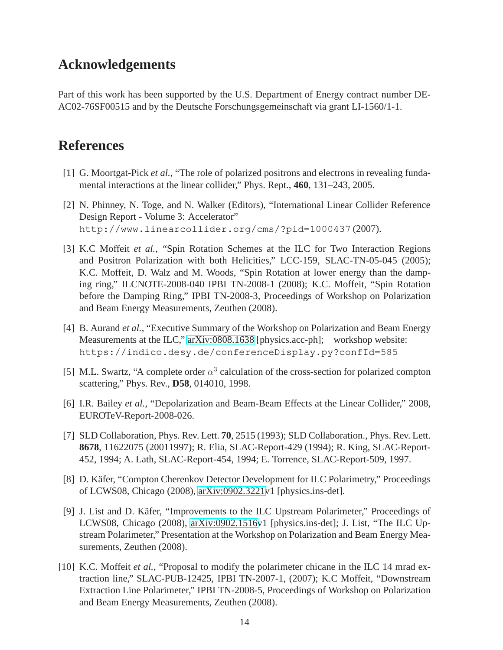## **Acknowledgements**

Part of this work has been supported by the U.S. Department of Energy contract number DE-AC02-76SF00515 and by the Deutsche Forschungsgemeinschaft via grant LI-1560/1-1.

### **References**

- [1] G. Moortgat-Pick *et al.*, "The role of polarized positrons and electrons in revealing fundamental interactions at the linear collider," Phys. Rept., **460**, 131–243, 2005.
- [2] N. Phinney, N. Toge, and N. Walker (Editors), "International Linear Collider Reference Design Report - Volume 3: Accelerator" http://www.linearcollider.org/cms/?pid=1000437 (2007).
- [3] K.C Moffeit *et al.*, "Spin Rotation Schemes at the ILC for Two Interaction Regions and Positron Polarization with both Helicities," LCC-159, SLAC-TN-05-045 (2005); K.C. Moffeit, D. Walz and M. Woods, "Spin Rotation at lower energy than the damping ring," ILCNOTE-2008-040 IPBI TN-2008-1 (2008); K.C. Moffeit, "Spin Rotation before the Damping Ring," IPBI TN-2008-3, Proceedings of Workshop on Polarization and Beam Energy Measurements, Zeuthen (2008).
- [4] B. Aurand *et al.*, "Executive Summary of the Workshop on Polarization and Beam Energy Measurements at the ILC," [arXiv:0808.1638](http://arxiv.org/abs/0808.1638) [physics.acc-ph]; workshop website: https://indico.desy.de/conferenceDisplay.py?confId=585
- [5] M.L. Swartz, "A complete order  $\alpha^3$  calculation of the cross-section for polarized compton scattering," Phys. Rev., **D58**, 014010, 1998.
- [6] I.R. Bailey *et al.*, "Depolarization and Beam-Beam Effects at the Linear Collider," 2008, EUROTeV-Report-2008-026.
- [7] SLD Collaboration, Phys. Rev. Lett. **70**, 2515 (1993); SLD Collaboration., Phys. Rev. Lett. **8678**, 11622075 (20011997); R. Elia, SLAC-Report-429 (1994); R. King, SLAC-Report-452, 1994; A. Lath, SLAC-Report-454, 1994; E. Torrence, SLAC-Report-509, 1997.
- [8] D. Käfer, "Compton Cherenkov Detector Development for ILC Polarimetry," Proceedings of LCWS08, Chicago (2008), [arXiv:0902.3221v](http://arxiv.org/abs/0902.3221)1 [physics.ins-det].
- [9] J. List and D. Käfer, "Improvements to the ILC Upstream Polarimeter," Proceedings of LCWS08, Chicago (2008), [arXiv:0902.1516v](http://arxiv.org/abs/0902.1516)1 [physics.ins-det]; J. List, "The ILC Upstream Polarimeter," Presentation at the Workshop on Polarization and Beam Energy Measurements, Zeuthen (2008).
- [10] K.C. Moffeit *et al.*, "Proposal to modify the polarimeter chicane in the ILC 14 mrad extraction line," SLAC-PUB-12425, IPBI TN-2007-1, (2007); K.C Moffeit, "Downstream Extraction Line Polarimeter," IPBI TN-2008-5, Proceedings of Workshop on Polarization and Beam Energy Measurements, Zeuthen (2008).